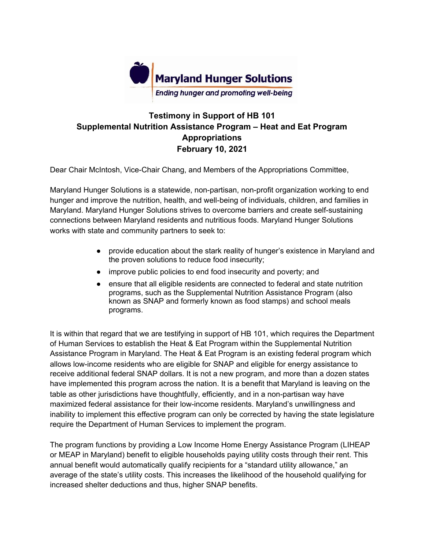

## **Testimony in Support of HB 101 Supplemental Nutrition Assistance Program – Heat and Eat Program Appropriations February 10, 2021**

Dear Chair McIntosh, Vice-Chair Chang, and Members of the Appropriations Committee,

Maryland Hunger Solutions is a statewide, non-partisan, non-profit organization working to end hunger and improve the nutrition, health, and well-being of individuals, children, and families in Maryland. Maryland Hunger Solutions strives to overcome barriers and create self-sustaining connections between Maryland residents and nutritious foods. Maryland Hunger Solutions works with state and community partners to seek to:

- provide education about the stark reality of hunger's existence in Maryland and the proven solutions to reduce food insecurity;
- improve public policies to end food insecurity and poverty; and
- ensure that all eligible residents are connected to federal and state nutrition programs, such as the Supplemental Nutrition Assistance Program (also known as SNAP and formerly known as food stamps) and school meals programs.

It is within that regard that we are testifying in support of HB 101, which requires the Department of Human Services to establish the Heat & Eat Program within the Supplemental Nutrition Assistance Program in Maryland. The Heat & Eat Program is an existing federal program which allows low-income residents who are eligible for SNAP and eligible for energy assistance to receive additional federal SNAP dollars. It is not a new program, and more than a dozen states have implemented this program across the nation. It is a benefit that Maryland is leaving on the table as other jurisdictions have thoughtfully, efficiently, and in a non-partisan way have maximized federal assistance for their low-income residents. Maryland's unwillingness and inability to implement this effective program can only be corrected by having the state legislature require the Department of Human Services to implement the program.

The program functions by providing a Low Income Home Energy Assistance Program (LIHEAP or MEAP in Maryland) benefit to eligible households paying utility costs through their rent. This annual benefit would automatically qualify recipients for a "standard utility allowance," an average of the state's utility costs. This increases the likelihood of the household qualifying for increased shelter deductions and thus, higher SNAP benefits.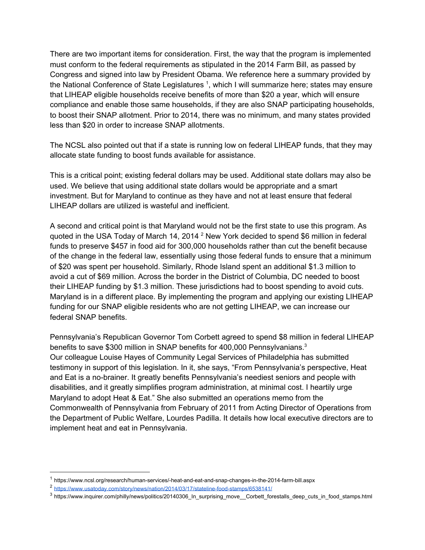There are two important items for consideration. First, the way that the program is implemented must conform to the federal requirements as stipulated in the 2014 Farm Bill, as passed by Congress and signed into law by President Obama. We reference here a summary provided by the National Conference of State Legislatures<sup>1</sup>, which I will summarize here; states may ensure that LIHEAP eligible households receive benefits of more than \$20 a year, which will ensure compliance and enable those same households, if they are also SNAP participating households, to boost their SNAP allotment. Prior to 2014, there was no minimum, and many states provided less than \$20 in order to increase SNAP allotments.

The NCSL also pointed out that if a state is running low on federal LIHEAP funds, that they may allocate state funding to boost funds available for assistance.

This is a critical point; existing federal dollars may be used. Additional state dollars may also be used. We believe that using additional state dollars would be appropriate and a smart investment. But for Maryland to continue as they have and not at least ensure that federal LIHEAP dollars are utilized is wasteful and inefficient.

A second and critical point is that Maryland would not be the first state to use this program. As quoted in the USA Today of March 14, 2014<sup>2</sup> New York decided to spend \$6 million in federal funds to preserve \$457 in food aid for 300,000 households rather than cut the benefit because of the change in the federal law, essentially using those federal funds to ensure that a minimum of \$20 was spent per household. Similarly, Rhode Island spent an additional \$1.3 million to avoid a cut of \$69 million. Across the border in the District of Columbia, DC needed to boost their LIHEAP funding by \$1.3 million. These jurisdictions had to boost spending to avoid cuts. Maryland is in a different place. By implementing the program and applying our existing LIHEAP funding for our SNAP eligible residents who are not getting LIHEAP, we can increase our federal SNAP benefits.

Pennsylvania's Republican Governor Tom Corbett agreed to spend \$8 million in federal LIHEAP benefits to save \$300 million in SNAP benefits for 400,000 Pennsylvanians.<sup>3</sup> Our colleague Louise Hayes of Community Legal Services of Philadelphia has submitted testimony in support of this legislation. In it, she says, "From Pennsylvania's perspective, Heat and Eat is a no-brainer. It greatly benefits Pennsylvania's neediest seniors and people with disabilities, and it greatly simplifies program administration, at minimal cost. I heartily urge Maryland to adopt Heat & Eat." She also submitted an operations memo from the Commonwealth of Pennsylvania from February of 2011 from Acting Director of Operations from the Department of Public Welfare, Lourdes Padilla. It details how local executive directors are to implement heat and eat in Pennsylvania.

<sup>1</sup> https://www.ncsl.org/research/human-services/-heat-and-eat-and-snap-changes-in-the-2014-farm-bill.aspx

<sup>2</sup> <https://www.usatoday.com/story/news/nation/2014/03/17/stateline-food-stamps/6538141/>

<sup>3</sup> https://www.inquirer.com/philly/news/politics/20140306\_In\_surprising\_move\_\_Corbett\_forestalls\_deep\_cuts\_in\_food\_stamps.html